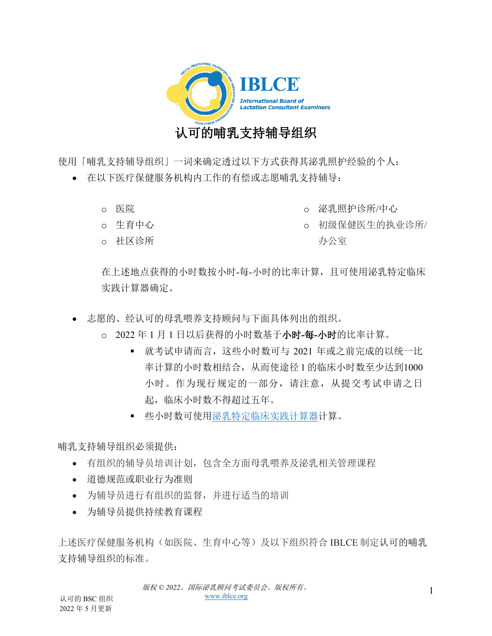

使用「哺乳支持辅导组织」一词来确定透过以下方式获得其泌乳照护经验的个人:

- 在以下医疗保健服务机构内工作的有偿或志愿哺乳支持辅导:
	- o 医院
	- o 生育中心
	- o 社区诊所
- o 泌乳照护诊所/中心
- o 初级保健医生的执业诊所/ 办公室

在上述地点获得的小时数按小时-每-小时的比率计算,且可使用泌乳特定临床 实践计算器确定。

- 志愿的、经认可的母乳喂养支持顾问与下面具体列出的组织。
	- o 2022 年 1 月 1 日以后获得的小时数基于小时**-**每**-**小时的比率计算。
		- 就考试申请而言,这些小时数可与 2021 年或之前完成的以统一比 率计算的小时数相结合,从而使途径 1 的临床小时数至少达到1000 小时。作为现行规定的一部分,请注意,从提交考试申请之日 起,临床小时数不得超过五年。
		- 些小时数可使[用泌乳特定临床实践计算器计](https://iblce.org/wp-content/uploads/2019/12/September_2019_FINAL_Lactation-Specific-Clinical-Practice-Calculator-1_TRADITIONAL-CHINESE.xlsx)算。

哺乳支持辅导组织必须提供:

- 有组织的辅导员培训计划,包含全方面母乳喂养及泌乳相关管理课程
- 道德规范或职业行为准则
- 为辅导员进行有组织的监督,并进行适当的培训
- 为辅导员提供持续教育课程

上述医疗保健服务机构(如医院、生育中心等)及以下组织符合 IBLCE 制定认可的哺乳 支持辅导组织的标准。

1 版权 *© 2022*。国际泌乳顾问考试委员会。版权所有。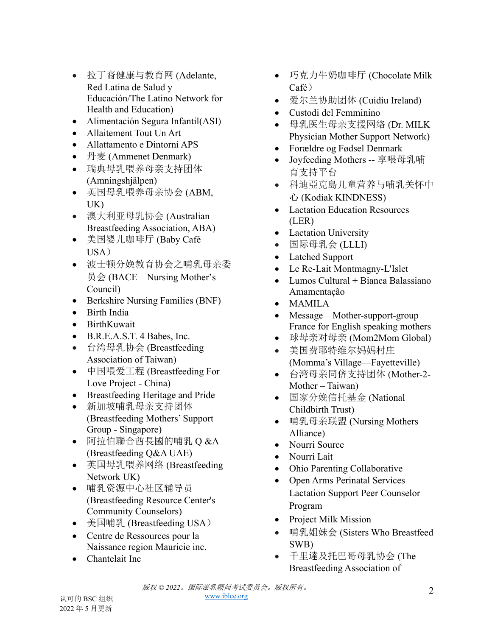- 拉丁裔健康与教育网 (Adelante, Red Latina de Salud y Educación/The Latino Network for Health and Education)
- Alimentación Segura Infantil(ASI)
- Allaitement Tout Un Art
- Allattamento e Dintorni APS
- 丹麦 (Ammenet Denmark)
- 瑞典母乳喂养母亲支持团体 (Amningshjälpen)
- 英国母乳喂养母亲协会 (ABM, UK)
- 澳大利亚母乳协会 (Australian Breastfeeding Association, ABA)
- 美国婴儿咖啡厅 (Baby Café  $USA$ )
- 波士顿分娩教育协会之哺乳母亲委 员会 (BACE – Nursing Mother's Council)
- Berkshire Nursing Families (BNF)
- Birth India
- BirthKuwait
- B.R.E.A.S.T. 4 Babes, Inc.
- 台湾母乳协会 (Breastfeeding Association of Taiwan)
- 中国喂爱工程 (Breastfeeding For Love Project - China)
- Breastfeeding Heritage and Pride
- 新加坡哺乳母亲支持团体 (Breastfeeding Mothers' Support Group - Singapore)
- 阿拉伯聯合酋長國的哺乳 Q &A (Breastfeeding Q&A UAE)
- 英国母乳喂养网络 (Breastfeeding Network UK)
- 哺乳资源中心社区辅导员 (Breastfeeding Resource Center's Community Counselors)
- 美国哺乳 (Breastfeeding USA)
- Centre de Ressources pour la Naissance region Mauricie inc.
- Chantelait Inc
- 巧克力牛奶咖啡厅 (Chocolate Milk Café)
- 爱尔兰协助团体 (Cuidiu Ireland)
- Custodi del Femminino
- 母乳医生母亲支援网络 (Dr. MILK Physician Mother Support Network)
- Forældre og Fødsel Denmark
- Joyfeeding Mothers -- 享喂母乳哺 育支持平台
- 科迪亞克島儿童营养与哺乳关怀中 心 (Kodiak KINDNESS)
- Lactation Education Resources (LER)
- Lactation University
- 国际母乳会 (LLLI)
- Latched Support
- Le Re-Lait Montmagny-L'Islet
- Lumos Cultural + Bianca Balassiano Amamentação
- MAMILA
- Message—Mother-support-group France for English speaking mothers
- 球母亲对母亲 (Mom2Mom Global)
- 美国费耶特维尔妈妈村庄 (Momma's Village—Fayetteville)
- 台湾母亲同侪支持团体 (Mother-2- Mother – Taiwan)
- 国家分娩信托基金 (National Childbirth Trust)
- 哺乳母亲联盟 (Nursing Mothers Alliance)
- Nourri Source
- Nourri Lait
- Ohio Parenting Collaborative
- Open Arms Perinatal Services Lactation Support Peer Counselor Program
- Project Milk Mission
- 哺乳姐妹会 (Sisters Who Breastfeed SWB)
- 千里達及托巴哥母乳协会 (The Breastfeeding Association of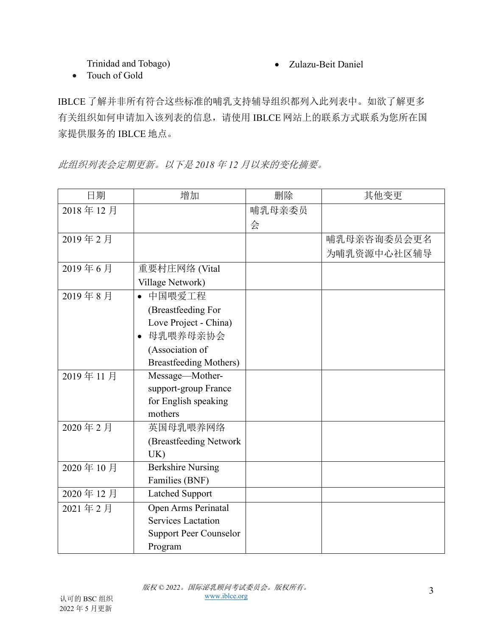Trinidad and Tobago)

• Zulazu-Beit Daniel

• Touch of Gold

IBLCE 了解并非所有符合这些标准的哺乳支持辅导组织都列入此列表中。如欲了解更多 有关组织如何申请加入该列表的信息,请使用 IBLCE 网站上的联系方式联系为您所在国 家提供服务的 IBLCE 地点。

此组织列表会定期更新。以下是 *2018* 年 *12* 月以来的变化摘要。

| 日期       | 增加                            | 删除     | 其他变更        |
|----------|-------------------------------|--------|-------------|
| 2018年12月 |                               | 哺乳母亲委员 |             |
|          |                               | 会      |             |
| 2019年2月  |                               |        | 哺乳母亲咨询委员会更名 |
|          |                               |        | 为哺乳资源中心社区辅导 |
| 2019年6月  | 重要村庄网络 (Vital                 |        |             |
|          | Village Network)              |        |             |
| 2019年8月  | 中国喂爱工程<br>$\bullet$           |        |             |
|          | (Breastfeeding For            |        |             |
|          | Love Project - China)         |        |             |
|          | • 母乳喂养母亲协会                    |        |             |
|          | (Association of               |        |             |
|          | <b>Breastfeeding Mothers)</b> |        |             |
| 2019年11月 | Message-Mother-               |        |             |
|          | support-group France          |        |             |
|          | for English speaking          |        |             |
|          | mothers                       |        |             |
| 2020年2月  | 英国母乳喂养网络                      |        |             |
|          | (Breastfeeding Network        |        |             |
|          | UK)                           |        |             |
| 2020年10月 | <b>Berkshire Nursing</b>      |        |             |
|          | Families (BNF)                |        |             |
| 2020年12月 | <b>Latched Support</b>        |        |             |
| 2021年2月  | Open Arms Perinatal           |        |             |
|          | <b>Services Lactation</b>     |        |             |
|          | <b>Support Peer Counselor</b> |        |             |
|          | Program                       |        |             |